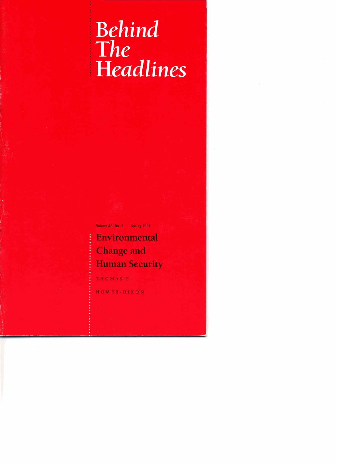# <sup>I</sup>**Behind**  <sup>i</sup>**The Headlines**

**VPIUmI 48. No. 3 &fin( la81** 

## **Environmental Change** and **Human Security**

: **THOMAS F,** 

**HOMER-DIXON**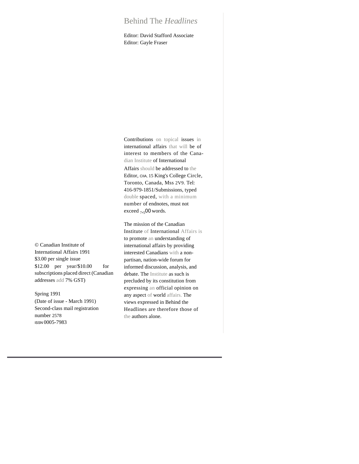### Behind The *Headlines*

Editor: David Stafford Associate Editor: Gayle Fraser

© Canadian Institute of International Affairs 1991 \$3.00 per single issue \$12.00 per year/\$10.00 for subscriptions placed direct (Canadian addresses add 7% GST)

Spring 1991

(Date of issue - March 1991) Second-class mail registration number 2578 ISSN 0005-7983

Contributions on topical issues in international affairs that will be of interest to members of the Canadian Institute of International

Affairs should be addressed to the Editor, CIIA, 15 King's College Circle, Toronto, Canada, Mss 2V9. Tel: 416-979-1851/Submissions, typed double spaced, with a minimum number of endnotes, must not exceed <sub>7</sub>,<sub>5</sub>00 words.

The mission of the Canadian Institute of International Affairs is to promote an understanding of international affairs by providing interested Canadians with a nonpartisan, nation-wide forum for informed discussion, analysis, and debate. The Institute as such is precluded by its constitution from expressing an official opinion on any aspect of world affairs. The views expressed in Behind the Headlines are therefore those of the authors alone.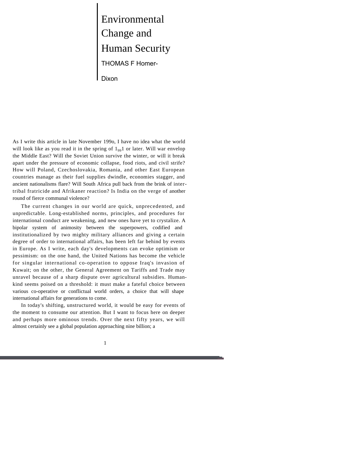Environmental Change and Human Security THOMAS F Homer-Dixon

As I write this article in late November 199o, I have no idea what the world will look like as you read it in the spring of  $1_{99}1$  or later. Will war envelop the Middle East? Will the Soviet Union survive the winter, or will it break apart under the pressure of economic collapse, food riots, and civil strife? How will Poland, Czechoslovakia, Romania, and other East European countries manage as their fuel supplies dwindle, economies stagger, and ancient nationalisms flare? Will South Africa pull back from the brink of intertribal fratricide and Afrikaner reaction? Is India on the verge of another round of fierce communal violence?

The current changes in our world are quick, unprecedented, and unpredictable. Long-established norms, principles, and procedures for international conduct are weakening, and new ones have yet to crystalize. A bipolar system of animosity between the superpowers, codified and institutionalized by two mighty military alliances and giving a certain degree of order to international affairs, has been left far behind by events in Europe. As I write, each day's developments can evoke optimism or pessimism: on the one hand, the United Nations has become the vehicle for singular international co-operation to oppose Iraq's invasion of Kuwait; on the other, the General Agreement on Tariffs and Trade may unravel because of a sharp dispute over agricultural subsidies. Humankind seems poised on a threshold: it must make a fateful choice between various co-operative or conflictual world orders, a choice that will shape international affairs for generations to come.

In today's shifting, unstructured world, it would be easy for events of the moment to consume our attention. But I want to focus here on deeper and perhaps more ominous trends. Over the next fifty years, we will almost certainly see a global population approaching nine billion; a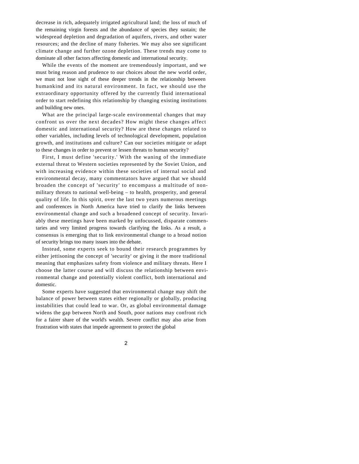decrease in rich, adequately irrigated agricultural land; the loss of much of the remaining virgin forests and the abundance of species they sustain; the widespread depletion and degradation of aquifers, rivers, and other water resources; and the decline of many fisheries. We may also see significant climate change and further ozone depletion. These trends may come to dominate all other factors affecting domestic and international security.

While the events of the moment are tremendously important, and we must bring reason and prudence to our choices about the new world order, we must not lose sight of these deeper trends in the relationship between humankind and its natural environment. In fact, we should use the extraordinary opportunity offered by the currently fluid international order to start redefining this relationship by changing existing institutions and building new ones.

What are the principal large-scale environmental changes that may confront us over the next decades? How might these changes affect domestic and international security? How are these changes related to other variables, including levels of technological development, population growth, and institutions and culture? Can our societies mitigate or adapt to these changes in order to prevent or lessen threats to human security?

First, I must define 'security.' With the waning of the immediate external threat to Western societies represented by the Soviet Union, and with increasing evidence within these societies of internal social and environmental decay, many commentators have argued that we should broaden the concept of 'security' to encompass a multitude of nonmilitary threats to national well-being – to health, prosperity, and general quality of life. In this spirit, over the last two years numerous meetings and conferences in North America have tried to clarify the links between environmental change and such a broadened concept of security. Invariably these meetings have been marked by unfocussed, disparate commentaries and very limited progress towards clarifying the links. As a result, a consensus is emerging that to link environmental change to a broad notion of security brings too many issues into the debate.

Instead, some experts seek to bound their research programmes by either jettisoning the concept of 'security' or giving it the more traditional meaning that emphasizes safety from violence and military threats. Here I choose the latter course and will discuss the relationship between environmental change and potentially violent conflict, both international and domestic.

Some experts have suggested that environmental change may shift the balance of power between states either regionally or globally, producing instabilities that could lead to war. Or, as global environmental damage widens the gap between North and South, poor nations may confront rich for a fairer share of the world's wealth. Severe conflict may also arise from frustration with states that impede agreement to protect the global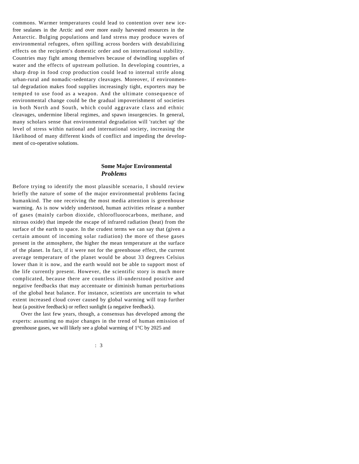commons. Warmer temperatures could lead to contention over new icefree sealanes in the Arctic and over more easily harvested resources in the Antarctic. Bulging populations and land stress may produce waves of environmental refugees, often spilling across borders with destabilizing effects on the recipient's domestic order and on international stability. Countries may fight among themselves because of dwindling supplies of water and the effects of upstream pollution. In developing countries, a sharp drop in food crop production could lead to internal strife along urban-rural and nomadic-sedentary cleavages. Moreover, if environmental degradation makes food supplies increasingly tight, exporters may be tempted to use food as a weapon. And the ultimate consequence of environmental change could be the gradual impoverishment of societies in both North and South, which could aggravate class and ethnic cleavages, undermine liberal regimes, and spawn insurgencies. In general, many scholars sense that environmental degradation will 'ratchet up' the level of stress within national and international society, increasing the likelihood of many different kinds of conflict and impeding the development of co-operative solutions.

#### **Some Major Environmental**  *Problems*

Before trying to identify the most plausible scenario, I should review briefly the nature of some of the major environmental problems facing humankind. The one receiving the most media attention is greenhouse warming. As is now widely understood, human activities release a number of gases (mainly carbon dioxide, chlorofluorocarbons, methane, and nitrous oxide) that impede the escape of infrared radiation (heat) from the surface of the earth to space. In the crudest terms we can say that (given a certain amount of incoming solar radiation) the more of these gases present in the atmosphere, the higher the mean temperature at the surface of the planet. In fact, if it were not for the greenhouse effect, the current average temperature of the planet would be about 33 degrees Celsius lower than it is now, and the earth would not be able to support most of the life currently present. However, the scientific story is much more complicated, because there are countless ill-understood positive and negative feedbacks that may accentuate or diminish human perturbations of the global heat balance. For instance, scientists are uncertain to what extent increased cloud cover caused by global warming will trap further heat (a positive feedback) or reflect sunlight (a negative feedback).

Over the last few years, though, a consensus has developed among the experts: assuming no major changes in the trend of human emission of greenhouse gases, we will likely see a global warming of 1°C by 2025 and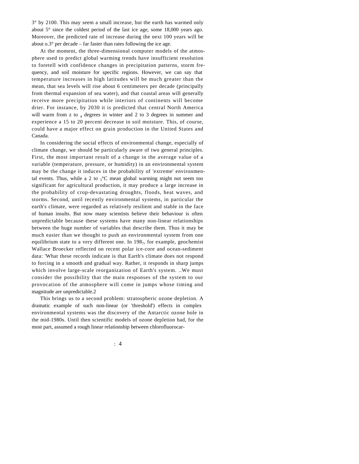$3^{\circ}$  by 2100. This may seem a small increase, but the earth has warmed only about 5° since the coldest period of the last ice age, some 18,000 years ago. Moreover, the predicted rate of increase during the next 100 years will be about  $0.3^\circ$  per decade – far faster than rates following the ice age.

At the moment, the three-dimensional computer models of the atmosphere used to predict global warming trends have insufficient resolution to foretell with confidence changes in precipitation patterns, storm frequency, and soil moisture for specific regions. However, we can say that temperature increases in high latitudes will be much greater than the mean, that sea levels will rise about 6 centimeters per decade (principally from thermal expansion of sea water), and that coastal areas will generally receive more precipitation while interiors of continents will become drier. For instance, by 2030 it is predicted that central North America will warm from z to  $_4$  degrees in winter and 2 to 3 degrees in summer and experience a 15 to 20 percent decrease in soil moisture. This, of course, could have a major effect on grain production in the United States and Canada.

In considering the social effects of environmental change, especially of climate change, we should be particularly aware of two general principles. First, the most important result of a change in the average value of a variable (temperature, pressure, or humidity) in an environmental system may be the change it induces in the probability of 'extreme' environmental events. Thus, while a 2 to  $3^{\circ}$ C mean global warming might not seem too significant for agricultural production, it may produce a large increase in the probability of crop-devastating droughts, floods, heat waves, and storms. Second, until recently environmental systems, in particular the earth's climate, were regarded as relatively resilient and stable in the face of human insults. But now many scientists believe their behaviour is often unpredictable because these systems have many non-linear relationships between the huge number of variables that describe them. Thus it may be much easier than we thought to push an environmental system from one equilibrium state to a very different one. In 198<sub>7</sub>, for example, geochemist Wallace Broecker reflected on recent polar ice-core and ocean-sediment data: 'What these records indicate is that Earth's climate does not respond to forcing in a smooth and gradual way. Rather, it responds in sharp jumps which involve large-scale reorganization of Earth's system. ..We must consider the possibility that the main responses of the system to our provocation of the atmosphere will come in jumps whose timing and magnitude are unpredictable.2

This brings us to a second problem: stratospheric ozone depletion. A dramatic example of such non-linear (or 'threshold') effects in complex environmental systems was the discovery of the Antarctic ozone hole in the mid-1980s. Until then scientific models of ozone depletion had, for the most part, assumed a rough linear relationship between chlorofluorocar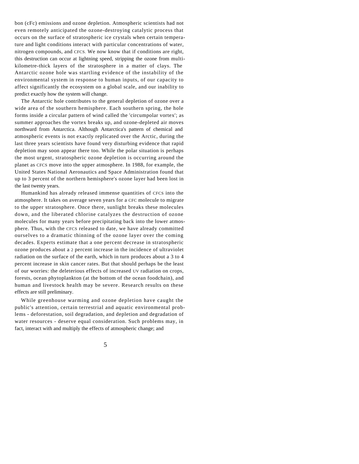bon (cFc) emissions and ozone depletion. Atmospheric scientists had not even remotely anticipated the ozone-destroying catalytic process that occurs on the surface of stratospheric ice crystals when certain temperature and light conditions interact with particular concentrations of water, nitrogen compounds, and CFCS. We now know that if conditions are right, this destruction can occur at lightning speed, stripping the ozone from multikilometre-thick layers of the stratosphere in a matter of clays. The Antarctic ozone hole was startling evidence of the instability of the environmental system in response to human inputs, of our capacity to affect significantly the ecosystem on a global scale, and our inability to predict exactly how the system will change.

The Antarctic hole contributes to the general depletion of ozone over a wide area of the southern hemisphere. Each southern spring, the hole forms inside a circular pattern of wind called the 'circumpolar vortex'; as summer approaches the vortex breaks up, and ozone-depleted air moves northward from Antarctica. Although Antarctica's pattern of chemical and atmospheric events is not exactly replicated over the Arctic, during the last three years scientists have found very disturbing evidence that rapid depletion may soon appear there too. While the polar situation is perhaps the most urgent, stratospheric ozone depletion is occurring around the planet as CFCS move into the upper atmosphere. In 1988, for example, the United States National Aeronautics and Space Administration found that up to 3 percent of the northern hemisphere's ozone layer had been lost in the last twenty years.

Humankind has already released immense quantities of CFCS into the atmosphere. It takes on average seven years for a CFC molecule to migrate to the upper stratosphere. Once there, sunlight breaks these molecules down, and the liberated chlorine catalyzes the destruction of ozone molecules for many years before precipitating back into the lower atmosphere. Thus, with the CFCS released to date, we have already committed ourselves to a dramatic thinning of the ozone layer over the coming decades. Experts estimate that a one percent decrease in stratospheric ozone produces about a 2 percent increase in the incidence of ultraviolet radiation on the surface of the earth, which in turn produces about a 3 to 4 percent increase in skin cancer rates. But that should perhaps be the least of our worries: the deleterious effects of increased UV radiation on crops, forests, ocean phytoplankton (at the bottom of the ocean foodchain), and human and livestock health may be severe. Research results on these effects are still preliminary.

While greenhouse warming and ozone depletion have caught the public's attention, certain terrestrial and aquatic environmental problems - deforestation, soil degradation, and depletion and degradation of water resources - deserve equal consideration. Such problems may, in fact, interact with and multiply the effects of atmospheric change; and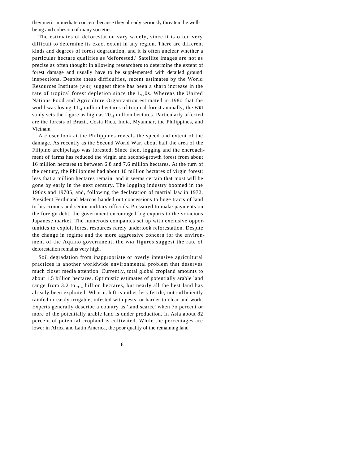they merit immediate concern because they already seriously threaten the wellbeing and cohesion of many societies.

The estimates of deforestation vary widely, since it is often very difficult to determine its exact extent in any region. There are different kinds and degrees of forest degradation, and it is often unclear whether a particular hectare qualifies as 'deforested.' Satellite images are not as precise as often thought in allowing researchers to determine the extent of forest damage and usually have to be supplemented with detailed ground inspections. Despite these difficulties, recent estimates by the World Resources Institute (WRI) suggest there has been a sharp increase in the rate of tropical forest depletion since the  $1_{97}$ Os. Whereas the United Nations Food and Agriculture Organization estimated in 198o that the world was losing 11.4 million hectares of tropical forest annually, the WRI study sets the figure as high as 20.<sup>4</sup> million hectares. Particularly affected are the forests of Brazil, Costa Rica, India, Myanmar, the Philippines, and Vietnam.

A closer look at the Philippines reveals the speed and extent of the damage. As recently as the Second World War, about half the area of the Filipino archipelago was forested. Since then, logging and the encroachment of farms has reduced the virgin and second-growth forest from about 16 million hectares to between 6.8 and 7.6 million hectares. At the turn of the century, the Philippines had about 10 million hectares of virgin forest; less that a million hectares remain, and it seems certain that most will be gone by early in the next century. The logging industry boomed in the 196os and 19705, and, following the declaration of martial law in 1972, President Ferdinand Marcos handed out concessions to huge tracts of land to his cronies and senior military officials. Pressured to make payments on the foreign debt, the government encouraged log exports to the voracious Japanese market. The numerous companies set up with exclusive opportunities to exploit forest resources rarely undertook reforestation. Despite the change in regime and the more aggressive concern for the environment of the Aquino government, the WRI figures suggest the rate of deforestation remains very high.

Soil degradation from inappropriate or overly intensive agricultural practices is another worldwide environmental problem that deserves much closer media attention. Currently, total global cropland amounts to about 1.5 billion hectares. Optimistic estimates of potentially arable land range from 3.2 to  $_{3 \cdot 4}$  billion hectares, but nearly all the best land has already been exploited. What is left is either less fertile, not sufficiently rainfed or easily irrigable, infested with pests, or harder to clear and work. Experts generally describe a country as 'land scarce' when 7o percent or more of the potentially arable land is under production. In Asia about 82 percent of potential cropland is cultivated. While the percentages are lower in Africa and Latin America, the poor quality of the remaining land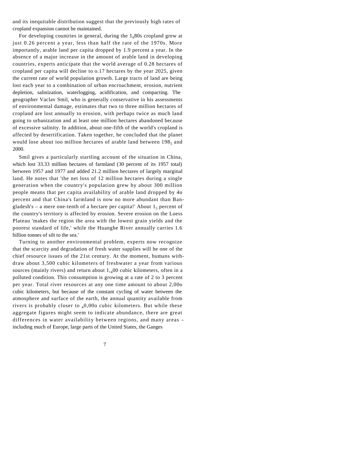and its inequitable distribution suggest that the previously high rates of cropland expansion cannot be maintained.

For developing countries in general, during the  $1<sub>9</sub>80s$  cropland grew at just 0.26 percent a year, less than half the rate of the 1970s. More importantly, arable land per capita dropped by 1.9 percent a year. In the absence of a major increase in the amount of arable land in developing countries, experts anticipate that the world average of 0.28 hectares of cropland per capita will decline to o.17 hectares by the year 2025, given the current rate of world population growth. Large tracts of land are being lost each year to a combination of urban encroachment, erosion, nutrient depletion, salinization, waterlogging, acidification, and compacting. The geographer Vaclav Smil, who is generally conservative in his assessments of environmental damage, estimates that two to three million hectares of cropland are lost annually to erosion, with perhaps twice as much land going to urbanization and at least one million hectares abandoned because of excessive salinity. In addition, about one-fifth of the world's cropland is affected by desertification. Taken together, he concluded that the planet would lose about ioo million hectares of arable land between  $198<sub>5</sub>$  and 2000.

Smil gives a particularly startling account of the situation in China, which lost 33.33 million hectares of farmland (30 percent of its 1957 total) between 1957 and 1977 and added 21.2 million hectares of largely marginal land. He notes that 'the net loss of 12 million hectares during a single generation when the country's population grew by about 300 million people means that per capita availability of arable land dropped by 4o percent and that China's farmland is now no more abundant than Bangladesh's – a mere one-tenth of a hectare per capita!' About  $1<sub>5</sub>$  percent of the country's territory is affected by erosion. Severe erosion on the Loess Plateau 'makes the region the area with the lowest grain yields and the poorest standard of life,' while the Huanghe River annually carries 1.6 billion tonnes of silt to the sea.'

Turning to another environmental problem, experts now recognize that the scarcity and degradation of fresh water supplies will he one of the chief resource issues of the 21st century. At the moment, humans withdraw about 3,500 cubic kilometers of freshwater a year from various sources (mainly rivers) and return about  $1_{,4}00$  cubic kilometers, often in a polluted condition. This consumption is growing at a rate of 2 to 3 percent per year. Total river resources at any one time amount to about 2,00o cubic kilometers, but because of the constant cycling of water between the atmosphere and surface of the earth, the annual quantity available from rivers is probably closer to  $_40,000$  cubic kilometers. But while these aggregate figures might seem to indicate abundance, there are great differences in water availability between regions, and many areas – including much of Europe, large parts of the United States, the Ganges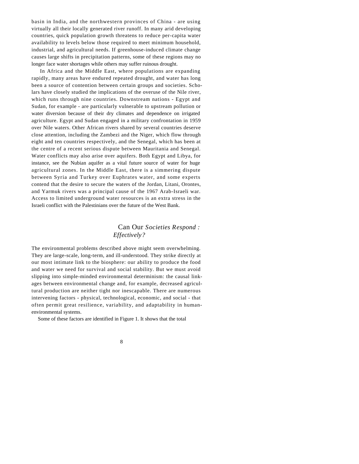basin in India, and the northwestern provinces of China - are using virtually all their locally generated river runoff. In many arid developing countries, quick population growth threatens to reduce per-capita water availability to levels below those required to meet minimum household, industrial, and agricultural needs. If greenhouse-induced climate change causes large shifts in precipitation patterns, some of these regions may no longer face water shortages while others may suffer ruinous drought.

In Africa and the Middle East, where populations are expanding rapidly, many areas have endured repeated drought, and water has long been a source of contention between certain groups and societies. Scholars have closely studied the implications of the overuse of the Nile river, which runs through nine countries. Downstream nations - Egypt and Sudan, for example - are particularly vulnerable to upstream pollution or water diversion because of their dry climates and dependence on irrigated agriculture. Egypt and Sudan engaged in a military confrontation in 1959 over Nile waters. Other African rivers shared by several countries deserve close attention, including the Zambezi and the Niger, which flow through eight and ten countries respectively, and the Senegal, which has been at the centre of a recent serious dispute between Mauritania and Senegal. Water conflicts may also arise over aquifers. Both Egypt and Libya, for instance, see the Nubian aquifer as a vital future source of water for huge agricultural zones. In the Middle East, there is a simmering dispute between Syria and Turkey over Euphrates water, and some experts contend that the desire to secure the waters of the Jordan, Litani, Orontes, and Yarmuk rivers was a principal cause of the 1967 Arab-Israeli war. Access to limited underground water resources is an extra stress in the Israeli conflict with the Palestinians over the future of the West Bank.

#### Can Our *Societies Respond : Effectively?*

The environmental problems described above might seem overwhelming. They are large-scale, long-term, and ill-understood. They strike directly at our most intimate link to the biosphere: our ability to produce the food and water we need for survival and social stability. But we must avoid slipping into simple-minded environmental determinism: the causal linkages between environmental change and, for example, decreased agricultural production are neither tight nor inescapable. There are numerous intervening factors - physical, technological, economic, and social - that often permit great resilience, variability, and adaptability in humanenvironmental systems.

Some of these factors are identified in Figure 1. It shows that the total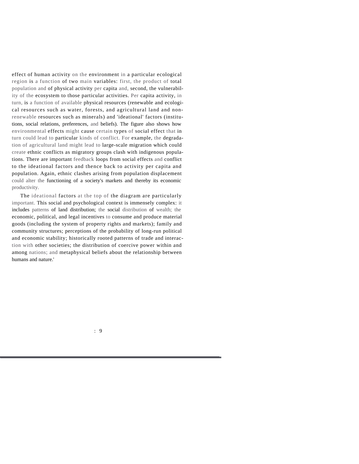effect of human activity on the environment in a particular ecological region is a function of two main variables: first, the product of total population and of physical activity per capita and, second, the vulnerability of the ecosystem to those particular activities. Per capita activity, in turn, is a function of available physical resources (renewable and ecological resources such as water, forests, and agricultural land and nonrenewable resources such as minerals) and 'ideational' factors (institutions, social relations, preferences, and beliefs). The figure also shows how environmental effects might cause certain types of social effect that in turn could lead to particular kinds of conflict. For example, the degradation of agricultural land might lead to large-scale migration which could create ethnic conflicts as migratory groups clash with indigenous populations. There are important feedback loops from social effects and conflict to the ideational factors and thence back to activity per capita and population. Again, ethnic clashes arising from population displacement could alter the functioning of a society's markets and thereby its economic productivity.

The ideational factors at the top of the diagram are particularly important. This social and psychological context is immensely complex: it includes patterns of land distribution; the social distribution of wealth; the economic, political, and legal incentives to consume and produce material goods (including the system of property rights and markets); family and community structures; perceptions of the probability of long-run political and economic stability; historically rooted patterns of trade and interaction with other societies; the distribution of coercive power within and among nations; and metaphysical beliefs about the relationship between humans and nature.'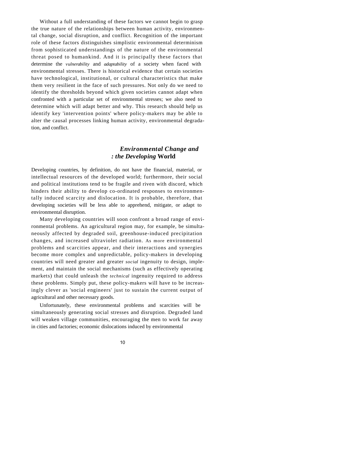Without a full understanding of these factors we cannot begin to grasp the true nature of the relationships between human activity, environmental change, social disruption, and conflict. Recognition of the important role of these factors distinguishes simplistic environmental determinism from sophisticated understandings of the nature of the environmental threat posed to humankind. And it is principally these factors that determine the *vulnerability* and *adaptability* of a society when faced with environmental stresses. There is historical evidence that certain societies have technological, institutional, or cultural characteristics that make them very resilient in the face of such pressures. Not only do we need to identify the thresholds beyond which given societies cannot adapt when confronted with a particular set of environmental stresses; we also need to determine which will adapt better and why. This research should help us identify key 'intervention points' where policy-makers may be able to alter the causal processes linking human activity, environmental degradation, and conflict.

#### *Environmental Change and : the Developing* **World**

Developing countries, by definition, do not have the financial, material, or intellectual resources of the developed world; furthermore, their social and political institutions tend to be fragile and riven with discord, which hinders their ability to develop co-ordinated responses to environmentally induced scarcity and dislocation. It is probable, therefore, that developing societies will be less able to apprehend, mitigate, or adapt to environmental disruption.

Many developing countries will soon confront a broad range of environmental problems. An agricultural region may, for example, be simultaneously affected by degraded soil, greenhouse-induced precipitation changes, and increased ultraviolet radiation. As more environmental problems and scarcities appear, and their interactions and synergies become more complex and unpredictable, policy-makers in developing countries will need greater and greater *social* ingenuity to design, implement, and maintain the social mechanisms (such as effectively operating markets) that could unleash the *technical* ingenuity required to address these problems. Simply put, these policy-makers will have to be increasingly clever as 'social engineers' just to sustain the current output of agricultural and other necessary goods.

Unfortunately, these environmental problems and scarcities will be simultaneously generating social stresses and disruption. Degraded land will weaken village communities, encouraging the men to work far away in cities and factories; economic dislocations induced by environmental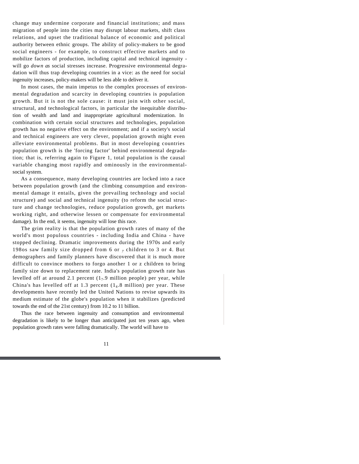change may undermine corporate and financial institutions; and mass migration of people into the cities may disrupt labour markets, shift class relations, and upset the traditional balance of economic and political authority between ethnic groups. The ability of policy-makers to be good social engineers - for example, to construct effective markets and to mobilize factors of production, including capital and technical ingenuity will go *down as* social stresses increase. Progressive environmental degradation will thus trap developing countries in a vice: as the need for social ingenuity increases, policy-makers will be less able to deliver it.

In most cases, the main impetus to the complex processes of environmental degradation and scarcity in developing countries is population growth. But it is not the sole cause: it must join with other social, structural, and technological factors, in particular the inequitable distribution of wealth and land and inappropriate agricultural modernization. In combination with certain social structures and technologies, population growth has no negative effect on the environment; and if a society's social and technical engineers are very clever, population growth might even alleviate environmental problems. But in most developing countries population growth is the 'forcing factor' behind environmental degradation; that is, referring again to Figure 1, total population is the causal variable changing most rapidly and ominously in the environmentalsocial system.

As a consequence, many developing countries are locked into a race between population growth (and the climbing consumption and environmental damage it entails, given the prevailing technology and social structure) and social and technical ingenuity (to reform the social structure and change technologies, reduce population growth, get markets working right, and otherwise lessen or compensate for environmental damage). In the end, it seems, ingenuity will lose this race.

The grim reality is that the population growth rates of many of the world's most populous countries - including India and China - have stopped declining. Dramatic improvements during the 1970s and early 198os saw family size dropped from 6 or *7* children to 3 or 4. But demographers and family planners have discovered that it is much more difficult to convince mothers to forgo another 1 or z children to bring family size down to replacement rate. India's population growth rate has levelled off at around 2.1 percent  $(1_7.9 \text{ million people})$  per year, while China's has levelled off at 1.3 percent  $(1<sub>4</sub>.8$  million) per year. These developments have recently led the United Nations to revise upwards its medium estimate of the globe's population when it stabilizes (predicted towards the end of the 21st century) from 10.2 to 11 billion.

Thus the race between ingenuity and consumption and environmental degradation is likely to be longer than anticipated just ten years ago, when population growth rates were falling dramatically. The world will have to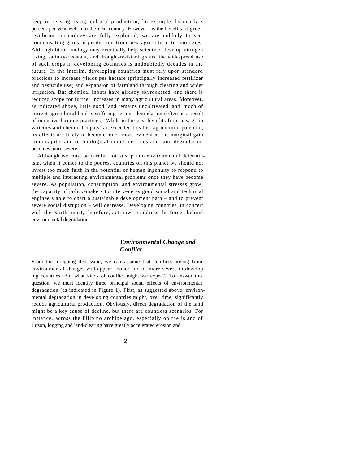keep increasing its agricultural production, for example, by nearly z percent per year well into the next century. However, as the benefits of greenrevolution technology are fully exploited, we are unlikely to see compensating gains in production from new agricultural technologies. Although biotechnology may eventually help scientists develop nitrogenfixing, salinity-resistant, and drought-resistant grains, the widespread use of such crops in developing countries is undoubtedly decades in the future. In the interim, developing countries must rely upon standard practices to increase yields per hectare (principally increased fertilizer and pesticide use) and expansion of farmland through clearing and wider irrigation. But chemical inputs have already skyrocketed, and there is reduced scope for further increases in many agricultural areas. Moreover, as indicated above, little good land remains uncultivated, and' much of current agricultural land is suffering serious degradation (often as a result of intensive farming practices). While in the past benefits from new grain varieties and chemical inputs far exceeded this lost agricultural potential, its effects are likely to become much more evident as the marginal gain from capital and technological inputs declines and land degradation becomes more severe.

Although we must be careful not to slip into environmental determinism, when it comes to the poorest countries on this planet we should not invest too much faith in the potential of human ingenuity to respond to multiple and interacting environmental problems once they have become severe. As population, consumption, and environmental stresses grow, the capacity of policy-makers to intervene as good social and technical engineers able to chart a sustainable development path – and to prevent severe social disruption – will decrease. Developing countries, in concert with the North, must, therefore, act now to address the forces behind environmental degradation.

#### *Environmental Change and Conflict*

From the foregoing discussion, we can assume that conflicts arising from environmental changes will appear sooner and be more severe in developing countries. But what kinds of conflict might we expect? To answer this question, we must identify three principal social effects of environmental degradation (as indicated in Figure 1). First, as suggested above, environmental degradation in developing countries might, over time, significantly reduce agricultural production. Obviously, direct degradation of the land might be a key cause of decline, but there are countless scenarios. For instance, across the Filipino archipelago, especially on the island of Luzon, logging and land-clearing have greatly accelerated erosion and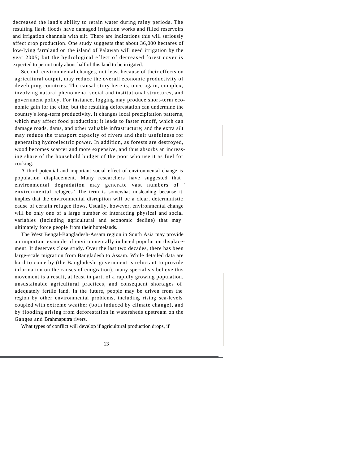decreased the land's ability to retain water during rainy periods. The resulting flash floods have damaged irrigation works and filled reservoirs and irrigation channels with silt. There are indications this will seriously affect crop production. One study suggests that about 36,000 hectares of low-lying farmland on the island of Palawan will need irrigation by the year 2005; but the hydrological effect of decreased forest cover is expected to permit only about half of this land to be irrigated.

Second, environmental changes, not least because of their effects on agricultural output, may reduce the overall economic productivity of developing countries. The causal story here is, once again, complex, involving natural phenomena, social and institutional structures, and government policy. For instance, logging may produce short-term economic gain for the elite, but the resulting deforestation can undermine the country's long-term productivity. It changes local precipitation patterns, which may affect food production; it leads to faster runoff, which can damage roads, dams, and other valuable infrastructure; and the extra silt may reduce the transport capacity of rivers and their usefulness for generating hydroelectric power. In addition, as forests are destroyed, wood becomes scarcer and more expensive, and thus absorbs an increasing share of the household budget of the poor who use it as fuel for cooking.

A third potential and important social effect of environmental change is population displacement. Many researchers have suggested that environmental degradation may generate vast numbers of ' environmental refugees.' The term is somewhat misleading because it implies that the environmental disruption will be a clear, deterministic cause of certain refugee flows. Usually, however, environmental change will be only one of a large number of interacting physical and social variables (including agricultural and economic decline) that may ultimately force people from their homelands.

The West Bengal-Bangladesh-Assam region in South Asia may provide an important example of environmentally induced population displacement. It deserves close study. Over the last two decades, there has been large-scale migration from Bangladesh to Assam. While detailed data are hard to come by (the Bangladeshi government is reluctant to provide information on the causes of emigration), many specialists believe this movement is a result, at least in part, of a rapidly growing population, unsustainable agricultural practices, and consequent shortages of adequately fertile land. In the future, people may be driven from the region by other environmental problems, including rising sea-levels coupled with extreme weather (both induced by climate change), and by flooding arising from deforestation in watersheds upstream on the Ganges and Brahmaputra rivers.

What types of conflict will develop if agricultural production drops, if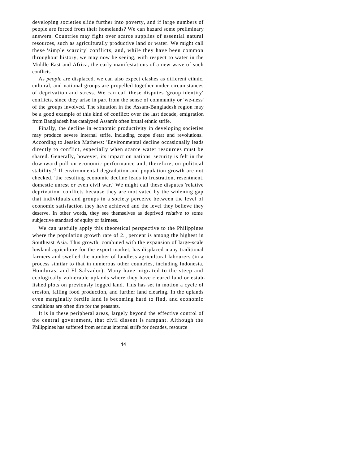developing societies slide further into poverty, and if large numbers of people are forced from their homelands? We can hazard some preliminary answers. Countries may fight over scarce supplies of essential natural resources, such as agriculturally productive land or water. We might call these 'simple scarcity' conflicts, and, while they have been common throughout history, we may now be seeing, with respect to water in the Middle East and Africa, the early manifestations of a new wave of such conflicts.

As *people* are displaced, we can also expect clashes as different ethnic, cultural, and national groups are propelled together under circumstances of deprivation and stress. We can call these disputes 'group identity' conflicts, since they arise in part from the sense of community or 'we-ness' of the groups involved. The situation in the Assam-Bangladesh region may be a good example of this kind of conflict: over the last decade, emigration from Bangladesh has catalyzed Assam's often brutal ethnic strife.

Finally, the decline in economic productivity in developing societies may produce severe internal strife, including coups d'etat and revolutions. According to Jessica Mathews: 'Environmental decline occasionally leads directly to conflict, especially when scarce water resources must be shared. Generally, however, its impact on nations' security is felt in the downward pull on economic performance and, therefore, on political stability.'<sup>5</sup> If environmental degradation and population growth are not checked, 'the resulting economic decline leads to frustration, resentment, domestic unrest or even civil war.' We might call these disputes 'relative deprivation' conflicts because they are motivated by the widening gap that individuals and groups in a society perceive between the level of economic satisfaction they have achieved and the level they believe they deserve. In other words, they see themselves as deprived *relative to* some subjective standard of equity or fairness.

We can usefully apply this theoretical perspective to the Philippines where the population growth rate of  $2.5$  percent is among the highest in Southeast Asia. This growth, combined with the expansion of large-scale lowland agriculture for the export market, has displaced many traditional farmers and swelled the number of landless agricultural labourers (in a process similar to that in numerous other countries, including Indonesia, Honduras, and El Salvador). Many have migrated to the steep and ecologically vulnerable uplands where they have cleared land or established plots on previously logged land. This has set in motion a cycle of erosion, falling food production, and further land clearing. In the uplands even marginally fertile land is becoming hard to find, and economic conditions are often dire for the peasants.

It is in these peripheral areas, largely beyond the effective control of the central government, that civil dissent is rampant. Although the Philippines has suffered from serious internal strife for decades, resource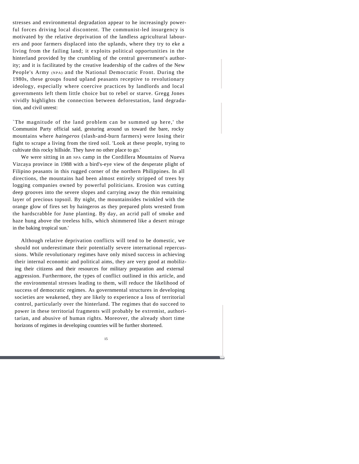stresses and environmental degradation appear to he increasingly powerful forces driving local discontent. The communist-led insurgency is motivated by the relative deprivation of the landless agricultural labourers and poor farmers displaced into the uplands, where they try to eke a living from the failing land; it exploits political opportunities in the hinterland provided by the crumbling of the central government's authority; and it is facilitated by the creative leadership of the cadres of the New People's Army (NPA) and the National Democratic Front. During the 1980s, these groups found upland peasants receptive to revolutionary ideology, especially where coercive practices by landlords and local governments left them little choice but to rebel or starve. Gregg Jones vividly highlights the connection between deforestation, land degradation, and civil unrest:

`The magnitude of the land problem can be summed up here,' the Communist Party official said, gesturing around us toward the bare, rocky mountains where *haingeros* (slash-and-burn farmers) were losing their fight to scrape a living from the tired soil. 'Look at these people, trying to cultivate this rocky hillside. They have no other place to go.'

We were sitting in an NPA camp in the Cordillera Mountains of Nueva Vizcaya province in 1988 with a bird's-eye view of the desperate plight of Filipino peasants in this rugged corner of the northern Philippines. In all directions, the mountains had been almost entirely stripped of trees by logging companies owned by powerful politicians. Erosion was cutting deep grooves into the severe slopes and carrying away the thin remaining layer of precious topsoil. By night, the mountainsides twinkled with the orange glow of fires set by haingeros as they prepared plots wrested from the hardscrabble for June planting. By day, an acrid pall of smoke and haze hung above the treeless hills, which shimmered like a desert mirage in the baking tropical sun.'

Although relative deprivation conflicts will tend to be domestic, we should not underestimate their potentially severe international repercussions. While revolutionary regimes have only mixed success in achieving their internal economic and political aims, they are very good at mobilizing their citizens and their resources for military preparation and external aggression. Furthermore, the types of conflict outlined in this article, and the environmental stresses leading to them, will reduce the likelihood of success of democratic regimes. As governmental structures in developing societies are weakened, they are likely to experience a loss of territorial control, particularly over the hinterland. The regimes that do succeed to power in these territorial fragments will probably be extremist, authoritarian, and abusive of human rights. Moreover, the already short time horizons of regimes in developing countries will be further shortened.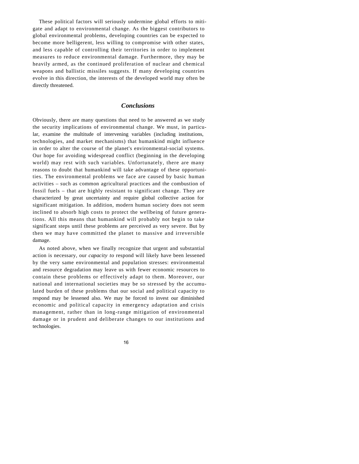These political factors will seriously undermine global efforts to mitigate and adapt to environmental change. As the biggest contributors to global environmental problems, developing countries can be expected to become more belligerent, less willing to compromise with other states, and less capable of controlling their territories in order to implement measures to reduce environmental damage. Furthermore, they may be heavily armed, as the continued proliferation of nuclear and chemical weapons and ballistic missiles suggests. If many developing countries evolve in this direction, the interests of the developed world may often be directly threatened.

#### *Conclusions*

Obviously, there are many questions that need to be answered as we study the security implications of environmental change. We must, in particular, examine the multitude of intervening variables (including institutions, technologies, and market mechanisms) that humankind might influence in order to alter the course of the planet's environmental-social systems. Our hope for avoiding widespread conflict (beginning in the developing world) may rest with such variables. Unfortunately, there are many reasons to doubt that humankind will take advantage of these opportunities. The environmental problems we face are caused by basic human activities – such as common agricultural practices and the combustion of fossil fuels – that are highly resistant to significant change. They are characterized by great uncertainty and require global collective action for significant mitigation. In addition, modern human society does not seem inclined to absorb high costs to protect the wellbeing of future generations. All this means that humankind will probably not begin to take significant steps until these problems are perceived as very severe. But by then we may have committed the planet to massive and irreversible damage.

As noted above, when we finally recognize that urgent and substantial action is necessary, our *capacity to* respond will likely have been lessened by the very same environmental and population stresses: environmental and resource degradation may leave us with fewer economic resources to contain these problems or effectively adapt to them. Moreover, our national and international societies may be so stressed by the accumulated burden of these problems that our social and political capacity to respond may be lessened also. We may be forced to invest our diminished economic and political capacity in emergency adaptation and crisis management, rather than in long-range mitigation of environmental damage or in prudent and deliberate changes to our institutions and technologies.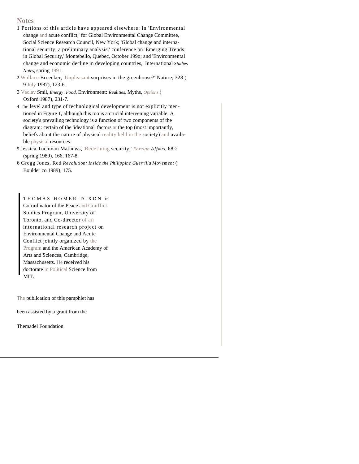#### **Notes**

- 1 Portions of this article have appeared elsewhere: in 'Environmental change and acute conflict,' for Global Environmental Change Committee, Social Science Research Council, New York; 'Global change and international security: a preliminary analysis,' conference on 'Emerging Trends in Global Security,' Montebello, Quebec, October 199o; and 'Environmental change and economic decline in developing countries,' International *Studies Notes,* spring 1991.
- 2 Wallace Broecker, 'Unpleasant surprises in the greenhouse?' Nature, 328 ( 9 July 1987), 123-6.
- 3 Vaclav Smil, *Energy, Food,* Environment: *Realities,* Myths, *Options* ( Oxford 1987), 231-7.
- 4 The level and type of technological development is not explicitly mentioned in Figure 1, although this too is a crucial intervening variable. A society's prevailing technology is a function of two components of the diagram: certain of the 'ideational' factors at the top (most importantly, beliefs about the nature of physical reality held in the society) and available physical resources.
- 5 Jessica Tuchman Mathews, 'Redefining security,' *Foreign Affairs,* 68:2 (spring 1989), 166, 167-8.
- 6 Gregg Jones, Red *Revolution: Inside the Philippine Guerrilla Movement* ( Boulder co 1989), 175.

THOMAS HOMER-DIXON is Co-ordinator of the Peace and Conflict Studies Program, University of Toronto, and Co-director of an international research project on Environmental Change and Acute Conflict jointly organized by the Program and the American Academy of Arts and Sciences, Cambridge, Massachusetts. He received his doctorate in Political Science from MIT.

The publication of this pamphlet has

been assisted by a grant from the

Themadel Foundation.